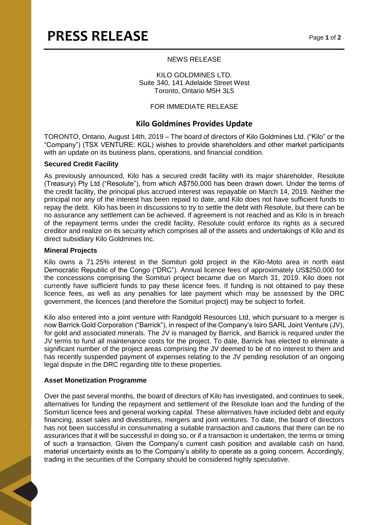#### NEWS RELEASE

KILO GOLDMINES LTD. Suite 340, 141 Adelaide Street West Toronto, Ontario M5H 3L5

## FOR IMMEDIATE RELEASE

# **Kilo Goldmines Provides Update**

TORONTO, Ontario, August 14th, 2019 – The board of directors of Kilo Goldmines Ltd. ("Kilo" or the "Company") (TSX VENTURE: KGL) wishes to provide shareholders and other market participants with an update on its business plans, operations, and financial condition.

#### **Secured Credit Facility**

As previously announced, Kilo has a secured credit facility with its major shareholder, Resolute (Treasury) Pty Ltd ("Resolute"), from which A\$750,000 has been drawn down. Under the terms of the credit facility, the principal plus accrued interest was repayable on March 14, 2019. Neither the principal nor any of the interest has been repaid to date, and Kilo does not have sufficient funds to repay the debt. Kilo has been in discussions to try to settle the debt with Resolute, but there can be no assurance any settlement can be achieved. If agreement is not reached and as Kilo is in breach of the repayment terms under the credit facility, Resolute could enforce its rights as a secured creditor and realize on its security which comprises all of the assets and undertakings of Kilo and its direct subsidiary Kilo Goldmines Inc.

#### **Mineral Projects**

Kilo owns a 71.25% interest in the Somituri gold project in the Kilo-Moto area in north east Democratic Republic of the Congo ("DRC"). Annual licence fees of approximately US\$250,000 for the concessions comprising the Somituri project became due on March 31, 2019. Kilo does not currently have sufficient funds to pay these licence fees. If funding is not obtained to pay these licence fees, as well as any penalties for late payment which may be assessed by the DRC government, the licences (and therefore the Somituri project) may be subject to forfeit.

Kilo also entered into a joint venture with Randgold Resources Ltd, which pursuant to a merger is now Barrick Gold Corporation ("Barrick"), in respect of the Company's Isiro SARL Joint Venture (JV), for gold and associated minerals. The JV is managed by Barrick, and Barrick is required under the JV terms to fund all maintenance costs for the project. To date, Barrick has elected to eliminate a significant number of the project areas comprising the JV deemed to be of no interest to them and has recently suspended payment of expenses relating to the JV pending resolution of an ongoing legal dispute in the DRC regarding title to these properties.

## **Asset Monetization Programme**

Over the past several months, the board of directors of Kilo has investigated, and continues to seek, alternatives for funding the repayment and settlement of the Resolute loan and the funding of the Somituri licence fees and general working capital. These alternatives have included debt and equity financing, asset sales and divestitures, mergers and joint ventures. To date, the board of directors has not been successful in consummating a suitable transaction and cautions that there can be no assurances that it will be successful in doing so, or if a transaction is undertaken, the terms or timing of such a transaction. Given the Company's current cash position and available cash on hand, material uncertainty exists as to the Company's ability to operate as a going concern. Accordingly, trading in the securities of the Company should be considered highly speculative.